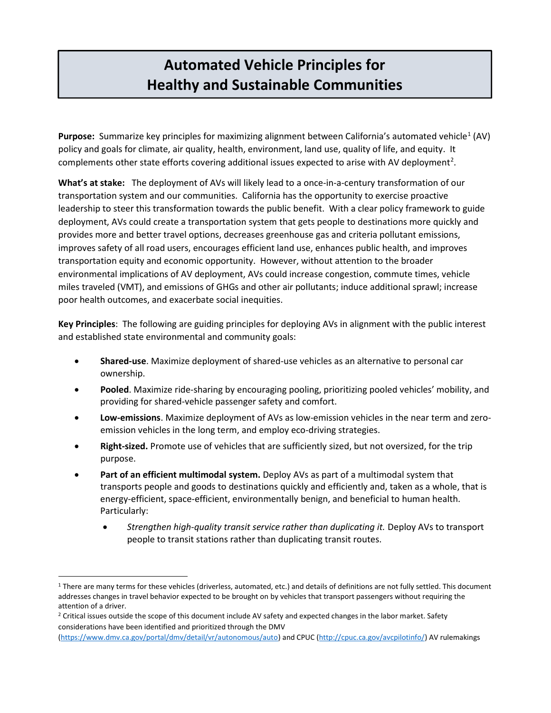## Automated Vehicle Principles for Healthy and Sustainable Communities

Purpose: Summarize key principles for maximizing alignment between California's automated vehicle<sup>1</sup> (AV) policy and goals for climate, air quality, health, environment, land use, quality of life, and equity. It complements other state efforts covering additional issues expected to arise with AV deployment<sup>2</sup>.

What's at stake: The deployment of AVs will likely lead to a once-in-a-century transformation of our transportation system and our communities. California has the opportunity to exercise proactive leadership to steer this transformation towards the public benefit. With a clear policy framework to guide deployment, AVs could create a transportation system that gets people to destinations more quickly and provides more and better travel options, decreases greenhouse gas and criteria pollutant emissions, improves safety of all road users, encourages efficient land use, enhances public health, and improves transportation equity and economic opportunity. However, without attention to the broader environmental implications of AV deployment, AVs could increase congestion, commute times, vehicle miles traveled (VMT), and emissions of GHGs and other air pollutants; induce additional sprawl; increase poor health outcomes, and exacerbate social inequities.

Key Principles: The following are guiding principles for deploying AVs in alignment with the public interest and established state environmental and community goals:

- **Shared-use**. Maximize deployment of shared-use vehicles as an alternative to personal car ownership.
- Pooled. Maximize ride-sharing by encouraging pooling, prioritizing pooled vehicles' mobility, and providing for shared-vehicle passenger safety and comfort.
- **Low-emissions**. Maximize deployment of AVs as low-emission vehicles in the near term and zero-emission vehicles in the long term, and employ eco-driving strategies.
- Right-sized. Promote use of vehicles that are sufficiently sized, but not oversized, for the trip purpose.
- Part of an efficient multimodal system. Deploy AVs as part of a multimodal system that transports people and goods to destinations quickly and efficiently and, taken as a whole, that is energy-efficient, space-efficient, environmentally benign, and beneficial to human health. Particularly:
	- Strengthen high-quality transit service rather than duplicating it. Deploy AVs to transport people to transit stations rather than duplicating transit routes.

l

 $1$  There are many terms for these vehicles (driverless, automated, etc.) and details of definitions are not fully settled. This document addresses changes in travel behavior expected to be brought on by vehicles that transport passengers without requiring the attention of a driver.

<sup>&</sup>lt;sup>2</sup> Critical issues outside the scope of this document include AV safety and expected changes in the labor market. Safety considerations have been identified and prioritized through the DMV

 (<https://www.dmv.ca.gov/portal/dmv/detail/vr/autonomous/auto>) and CPUC ([http://cpuc.ca.gov/avcpilotinfo/](http://cpuc.ca.gov/avcpilotinfo)) AV rulemakings